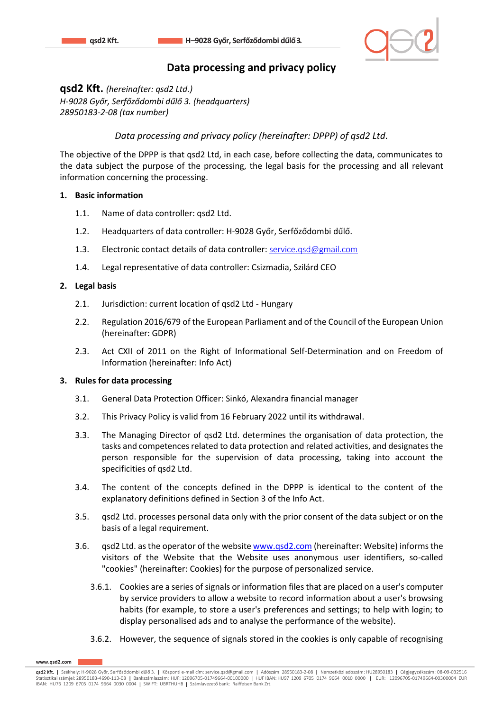

# **Data processing and privacy policy**

**qsd2 Kft.** *(hereinafter: qsd2 Ltd.) H-9028 Győr, Serfőződombi dűlő 3. (headquarters) 28950183-2-08 (tax number)*

*Data processing and privacy policy (hereinafter: DPPP) of qsd2 Ltd.*

The objective of the DPPP is that qsd2 Ltd, in each case, before collecting the data, communicates to the data subject the purpose of the processing, the legal basis for the processing and all relevant information concerning the processing.

### **1. Basic information**

- 1.1. Name of data controller: qsd2 Ltd.
- 1.2. Headquarters of data controller: H-9028 Győr, Serfőződombi dűlő.
- 1.3. Electronic contact details of data controller: [service.qsd@gmail.com](mailto:service.qsd@gmail.com)
- 1.4. Legal representative of data controller: Csizmadia, Szilárd CEO

### **2. Legal basis**

- 2.1. Jurisdiction: current location of qsd2 Ltd Hungary
- 2.2. Regulation 2016/679 of the European Parliament and of the Council of the European Union (hereinafter: GDPR)
- 2.3. Act CXII of 2011 on the Right of Informational Self-Determination and on Freedom of Information (hereinafter: Info Act)

# **3. Rules for data processing**

- 3.1. General Data Protection Officer: Sinkó, Alexandra financial manager
- 3.2. This Privacy Policy is valid from 16 February 2022 until its withdrawal.
- 3.3. The Managing Director of qsd2 Ltd. determines the organisation of data protection, the tasks and competences related to data protection and related activities, and designates the person responsible for the supervision of data processing, taking into account the specificities of qsd2 Ltd.
- 3.4. The content of the concepts defined in the DPPP is identical to the content of the explanatory definitions defined in Section 3 of the Info Act.
- 3.5. qsd2 Ltd. processes personal data only with the prior consent of the data subject or on the basis of a legal requirement.
- 3.6. qsd2 Ltd. as the operator of the websit[e www.qsd2.com](http://www.qsd2.com/) (hereinafter: Website) informs the visitors of the Website that the Website uses anonymous user identifiers, so-called "cookies" (hereinafter: Cookies) for the purpose of personalized service.
	- 3.6.1. Cookies are a series of signals or information files that are placed on a user's computer by service providers to allow a website to record information about a user's browsing habits (for example, to store a user's preferences and settings; to help with login; to display personalised ads and to analyse the performance of the website).
	- 3.6.2. However, the sequence of signals stored in the cookies is only capable of recognising

qsd2 Kft. | Székhely: H-9028 Győr, Serfőződombi dűlő 3. | Központi e-mail cím: [service.qsd@gmail.com](mailto:service.qsd@gmail.com) | Adószám: 28950183-2-08 | Nemzetközi adószám: HU28950183 | Cégjegyzékszám: 08-09-032516 Statisztikai számjel: 28950183-4690-113-08 | Bankszámlaszám: HUF: 12096705-01749664-00100000 | HUF IBAN: HU97 1209 6705 0174 9664 0010 0000 | EUR: 12096705-01749664-00300004 EUR IBAN: HU76 1209 6705 0174 9664 0030 0004 | SWIFT: UBRTHUHB | Számlavezető bank: Raiffeisen Bank Zrt.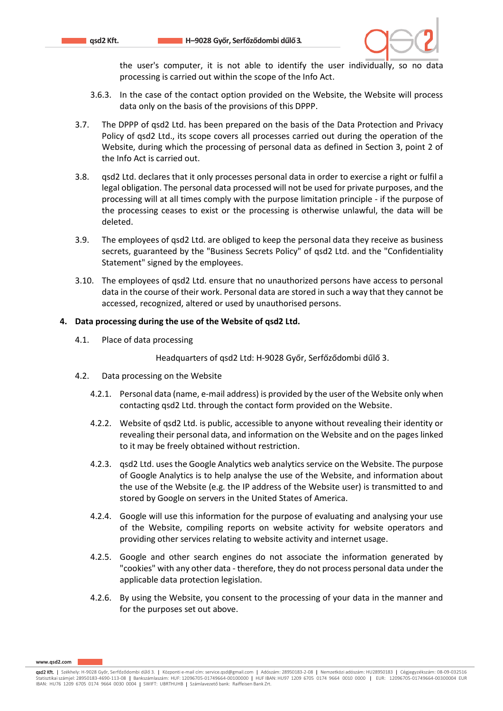

the user's computer, it is not able to identify the user individually, so no data processing is carried out within the scope of the Info Act.

- 3.6.3. In the case of the contact option provided on the Website, the Website will process data only on the basis of the provisions of this DPPP.
- 3.7. The DPPP of qsd2 Ltd. has been prepared on the basis of the Data Protection and Privacy Policy of qsd2 Ltd., its scope covers all processes carried out during the operation of the Website, during which the processing of personal data as defined in Section 3, point 2 of the Info Act is carried out.
- 3.8. qsd2 Ltd. declares that it only processes personal data in order to exercise a right or fulfil a legal obligation. The personal data processed will not be used for private purposes, and the processing will at all times comply with the purpose limitation principle - if the purpose of the processing ceases to exist or the processing is otherwise unlawful, the data will be deleted.
- 3.9. The employees of qsd2 Ltd. are obliged to keep the personal data they receive as business secrets, guaranteed by the "Business Secrets Policy" of qsd2 Ltd. and the "Confidentiality Statement" signed by the employees.
- 3.10. The employees of qsd2 Ltd. ensure that no unauthorized persons have access to personal data in the course of their work. Personal data are stored in such a way that they cannot be accessed, recognized, altered or used by unauthorised persons.

### **4. Data processing during the use of the Website of qsd2 Ltd.**

4.1. Place of data processing

Headquarters of qsd2 Ltd: H-9028 Győr, Serfőződombi dűlő 3.

- 4.2. Data processing on the Website
	- 4.2.1. Personal data (name, e-mail address) is provided by the user of the Website only when contacting qsd2 Ltd. through the contact form provided on the Website.
	- 4.2.2. Website of qsd2 Ltd. is public, accessible to anyone without revealing their identity or revealing their personal data, and information on the Website and on the pages linked to it may be freely obtained without restriction.
	- 4.2.3. qsd2 Ltd. uses the Google Analytics web analytics service on the Website. The purpose of Google Analytics is to help analyse the use of the Website, and information about the use of the Website (e.g. the IP address of the Website user) is transmitted to and stored by Google on servers in the United States of America.
	- 4.2.4. Google will use this information for the purpose of evaluating and analysing your use of the Website, compiling reports on website activity for website operators and providing other services relating to website activity and internet usage.
	- 4.2.5. Google and other search engines do not associate the information generated by "cookies" with any other data - therefore, they do not process personal data under the applicable data protection legislation.
	- 4.2.6. By using the Website, you consent to the processing of your data in the manner and for the purposes set out above.

qsd2 Kft. | Székhely: H-9028 Győr, Serfőződombi dűlő 3. | Központi e-mail cím: [service.qsd@gmail.com](mailto:service.qsd@gmail.com) | Adószám: 28950183-2-08 | Nemzetközi adószám: HU28950183 | Cégjegyzékszám: 08-09-032516 Statisztikai számjel: 28950183-4690-113-08 | Bankszámlaszám: HUF: 12096705-01749664-00100000 | HUF IBAN: HU97 1209 6705 0174 9664 0010 0000 | EUR: 12096705-01749664-00300004 EUR IBAN: HU76 1209 6705 0174 9664 0030 0004 | SWIFT: UBRTHUHB | Számlavezető bank: Raiffeisen Bank Zrt.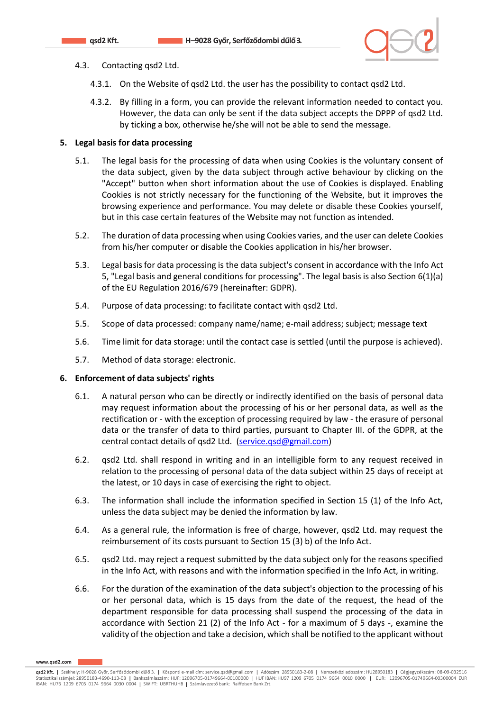

- 4.3. Contacting qsd2 Ltd.
	- 4.3.1. On the Website of qsd2 Ltd. the user has the possibility to contact qsd2 Ltd.
	- 4.3.2. By filling in a form, you can provide the relevant information needed to contact you. However, the data can only be sent if the data subject accepts the DPPP of qsd2 Ltd. by ticking a box, otherwise he/she will not be able to send the message.

# **5. Legal basis for data processing**

- 5.1. The legal basis for the processing of data when using Cookies is the voluntary consent of the data subject, given by the data subject through active behaviour by clicking on the "Accept" button when short information about the use of Cookies is displayed. Enabling Cookies is not strictly necessary for the functioning of the Website, but it improves the browsing experience and performance. You may delete or disable these Cookies yourself, but in this case certain features of the Website may not function as intended.
- 5.2. The duration of data processing when using Cookies varies, and the user can delete Cookies from his/her computer or disable the Cookies application in his/her browser.
- 5.3. Legal basis for data processing is the data subject's consent in accordance with the Info Act 5, "Legal basis and general conditions for processing". The legal basis is also Section 6(1)(a) of the EU Regulation 2016/679 (hereinafter: GDPR).
- 5.4. Purpose of data processing: to facilitate contact with qsd2 Ltd.
- 5.5. Scope of data processed: company name/name; e-mail address; subject; message text
- 5.6. Time limit for data storage: until the contact case is settled (until the purpose is achieved).
- 5.7. Method of data storage: electronic.

# **6. Enforcement of data subjects' rights**

- 6.1. A natural person who can be directly or indirectly identified on the basis of personal data may request information about the processing of his or her personal data, as well as the rectification or - with the exception of processing required by law - the erasure of personal data or the transfer of data to third parties, pursuant to Chapter III. of the GDPR, at the central contact details of qsd2 Ltd. [\(service.qsd@gmail.com\)](mailto:service.qsd@gmail.com)
- 6.2. qsd2 Ltd. shall respond in writing and in an intelligible form to any request received in relation to the processing of personal data of the data subject within 25 days of receipt at the latest, or 10 days in case of exercising the right to object.
- 6.3. The information shall include the information specified in Section 15 (1) of the Info Act, unless the data subject may be denied the information by law.
- 6.4. As a general rule, the information is free of charge, however, qsd2 Ltd. may request the reimbursement of its costs pursuant to Section 15 (3) b) of the Info Act.
- 6.5. qsd2 Ltd. may reject a request submitted by the data subject only for the reasons specified in the Info Act, with reasons and with the information specified in the Info Act, in writing.
- 6.6. For the duration of the examination of the data subject's objection to the processing of his or her personal data, which is 15 days from the date of the request, the head of the department responsible for data processing shall suspend the processing of the data in accordance with Section 21 (2) of the Info Act - for a maximum of 5 days -, examine the validity of the objection and take a decision, which shall be notified to the applicant without

qsd2 Kft. | Székhely: H-9028 Győr, Serfőződombi dűlő 3. | Központi e-mail cím: [service.qsd@gmail.com](mailto:service.qsd@gmail.com) | Adószám: 28950183-2-08 | Nemzetközi adószám: HU28950183 | Cégjegyzékszám: 08-09-032516 Statisztikai számjel: 28950183-4690-113-08 | Bankszámlaszám: HUF: 12096705-01749664-00100000 | HUF IBAN: HU97 1209 6705 0174 9664 0010 0000 | EUR: 12096705-01749664-00300004 EUR IBAN: HU76 1209 6705 0174 9664 0030 0004 | SWIFT: UBRTHUHB | Számlavezető bank: Raiffeisen Bank Zrt.